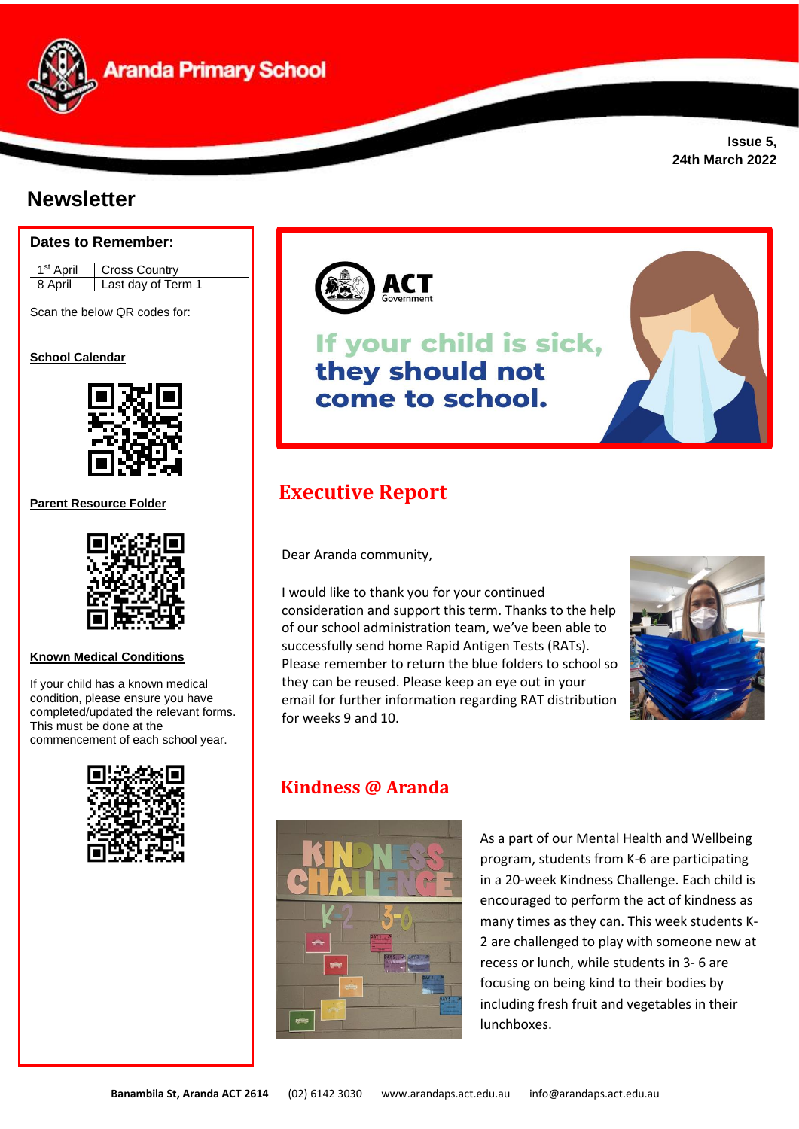

# **Newsletter**





Scan the below QR codes for:

**School Calendar** 



**Parent Resource Folder**



**Known Medical Conditions** 

If your child has a known medical condition, please ensure you have completed/updated the relevant forms. This must be done at the commencement of each school year.





# If your child is sick, they should not come to school.



Dear Aranda community,

I would like to thank you for your continued consideration and support this term. Thanks to the help of our school administration team, we've been able to successfully send home Rapid Antigen Tests (RATs). Please remember to return the blue folders to school so they can be reused. Please keep an eye out in your email for further information regarding RAT distribution for weeks 9 and 10.



## **Kindness @ Aranda**



As a part of our Mental Health and Wellbeing program, students from K-6 are participating in a 20-week Kindness Challenge. Each child is encouraged to perform the act of kindness as many times as they can. This week students K-2 are challenged to play with someone new at recess or lunch, while students in 3- 6 are focusing on being kind to their bodies by including fresh fruit and vegetables in their lunchboxes.

**Issue 5, 24th March 2022**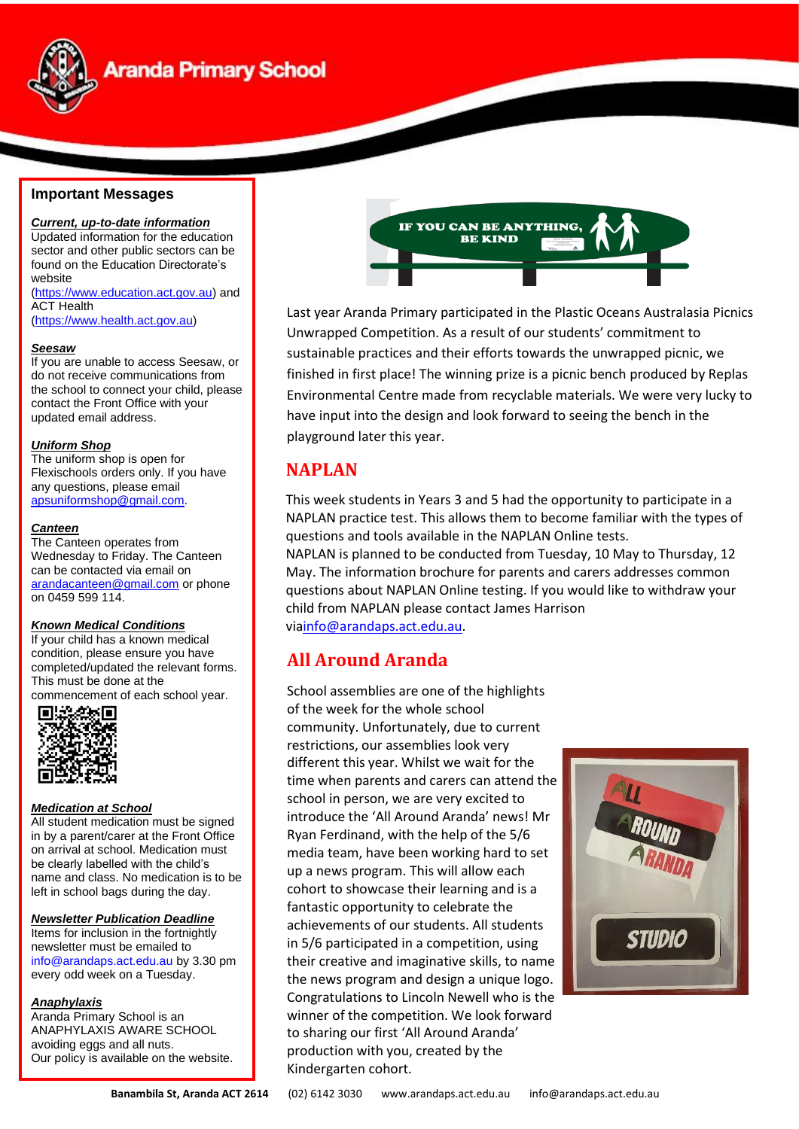

## **Aranda Primary School**

#### **Important Messages**

*Current, up-to-date information* Updated information for the education sector and other public sectors can be found on the Education Directorate's website [\(https://www.education.act.gov.au\)](https://www.education.act.gov.au/) and ACT Health

[\(https://www.health.act.gov.au\)](https://www.health.act.gov.au/)

#### *Seesaw*

If you are unable to access Seesaw, or do not receive communications from the school to connect your child, please contact the Front Office with your updated email address.

#### *Uniform Shop*

The uniform shop is open for Flexischools orders only. If you have any questions, please email [apsuniformshop@gmail.com.](mailto:apsuniformshop@gmail.com)

#### *Canteen*

The Canteen operates from Wednesday to Friday. The Canteen can be contacted via email on [arandacanteen@gmail.com](mailto:arandacanteen@gmail.com) or phone on 0459 599 114.

#### *Known Medical Conditions*

If your child has a known medical condition, please ensure you have completed/updated the relevant forms. This must be done at the

commencement of each school year.<br> **■监察官** 



#### *Medication at School*

All student medication must be signed in by a parent/carer at the Front Office on arrival at school. Medication must be clearly labelled with the child's name and class. No medication is to be left in school bags during the day.

#### *Newsletter Publication Deadline*

Items for inclusion in the fortnightly newsletter must be emailed to [info@arandaps.act.edu.au](mailto:info@arandaps.act.edu.au) by 3.30 pm every odd week on a Tuesday.

#### *Anaphylaxis*

Aranda Primary School is an ANAPHYLAXIS AWARE SCHOOL avoiding eggs and all nuts. Our policy is available on the website.



Last year Aranda Primary participated in the Plastic Oceans Australasia Picnics Unwrapped Competition. As a result of our students' commitment to sustainable practices and their efforts towards the unwrapped picnic, we finished in first place! The winning prize is a picnic bench produced by Replas Environmental Centre made from recyclable materials. We were very lucky to have input into the design and look forward to seeing the bench in the playground later this year.

### **NAPLAN**

This week students in Years 3 and 5 had the opportunity to participate in a NAPLAN practice test. This allows them to become familiar with the types of questions and tools available in the NAPLAN Online tests. NAPLAN is planned to be conducted from Tuesday, 10 May to Thursday, 12 May. The [information brochure](https://drive.google.com/file/d/13ZgG4bOLqlvWCO02AaTJMY-Kae2zm-gt/view?usp=sharing) for parents and carers addresses common questions about NAPLAN Online testing. If you would like to withdraw your child from NAPLAN please contact James Harrison vi[ainfo@arandaps.act.edu.au.](mailto:info@arandaps.act.edu.au)

### **All Around Aranda**

School assemblies are one of the highlights of the week for the whole school community. Unfortunately, due to current restrictions, our assemblies look very different this year. Whilst we wait for the time when parents and carers can attend the school in person, we are very excited to introduce the 'All Around Aranda' news! Mr Ryan Ferdinand, with the help of the 5/6 media team, have been working hard to set up a news program. This will allow each cohort to showcase their learning and is a fantastic opportunity to celebrate the achievements of our students. All students in 5/6 participated in a competition, using their creative and imaginative skills, to name the news program and design a unique logo. Congratulations to Lincoln Newell who is the winner of the competition. We look forward to sharing our first 'All Around Aranda' production with you, created by the Kindergarten cohort.

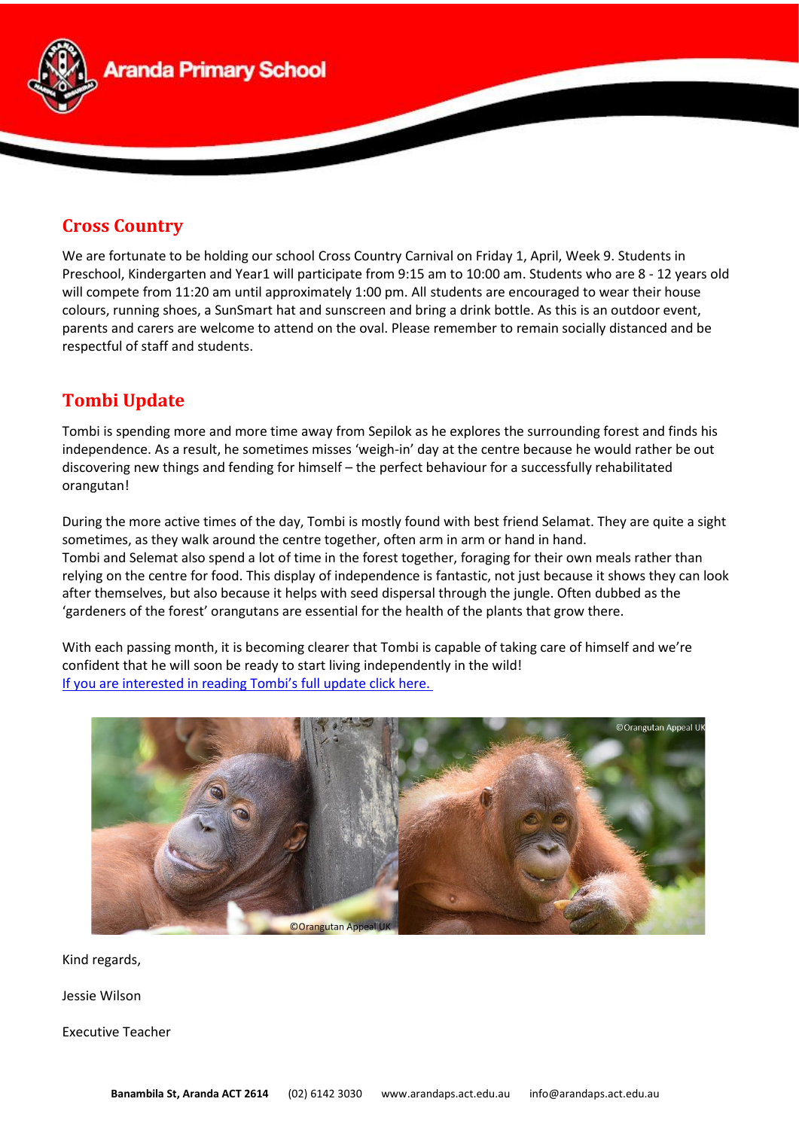

### **Cross Country**

We are fortunate to be holding our school Cross Country Carnival on Friday 1, April, Week 9. Students in Preschool, Kindergarten and Year1 will participate from 9:15 am to 10:00 am. Students who are 8 - 12 years old will compete from 11:20 am until approximately 1:00 pm. All students are encouraged to wear their house colours, running shoes, a SunSmart hat and sunscreen and bring a drink bottle. As this is an outdoor event, parents and carers are welcome to attend on the oval. Please remember to remain socially distanced and be respectful of staff and students.

### **Tombi Update**

Tombi is spending more and more time away from Sepilok as he explores the surrounding forest and finds his independence. As a result, he sometimes misses 'weigh-in' day at the centre because he would rather be out discovering new things and fending for himself – the perfect behaviour for a successfully rehabilitated orangutan!

During the more active times of the day, Tombi is mostly found with best friend Selamat. They are quite a sight sometimes, as they walk around the centre together, often arm in arm or hand in hand. Tombi and Selemat also spend a lot of time in the forest together, foraging for their own meals rather than relying on the centre for food. This display of independence is fantastic, not just because it shows they can look after themselves, but also because it helps with seed dispersal through the jungle. Often dubbed as the 'gardeners of the forest' orangutans are essential for the health of the plants that grow there.

With each passing month, it is becoming clearer that Tombi is capable of taking care of himself and we're confident that he will soon be ready to start living independently in the wild! [If you are interested in reading Tombi's full update click here.](https://drive.google.com/file/d/17GhBwbUR4ffOMRt0TmQzlIMws9zG-9Au/view?usp=sharing)



Kind regards,

Jessie Wilson

Executive Teacher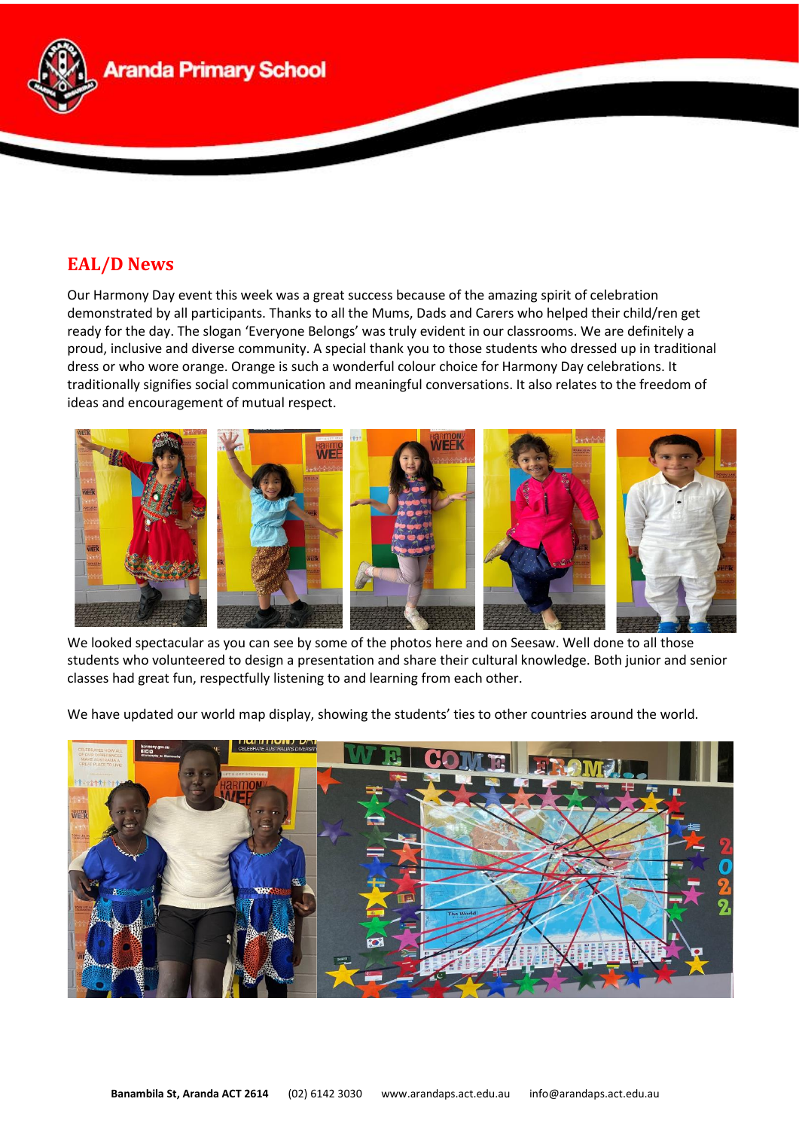

### **EAL/D News**

Our Harmony Day event this week was a great success because of the amazing spirit of celebration demonstrated by all participants. Thanks to all the Mums, Dads and Carers who helped their child/ren get ready for the day. The slogan 'Everyone Belongs' was truly evident in our classrooms. We are definitely a proud, inclusive and diverse community. A special thank you to those students who dressed up in traditional dress or who wore orange. Orange is such a wonderful colour choice for Harmony Day celebrations. It traditionally signifies social communication and meaningful conversations. It also relates to the freedom of ideas and encouragement of mutual respect.



We looked spectacular as you can see by some of the photos here and on Seesaw. Well done to all those students who volunteered to design a presentation and share their cultural knowledge. Both junior and senior classes had great fun, respectfully listening to and learning from each other.

We have updated our world map display, showing the students' ties to other countries around the world.

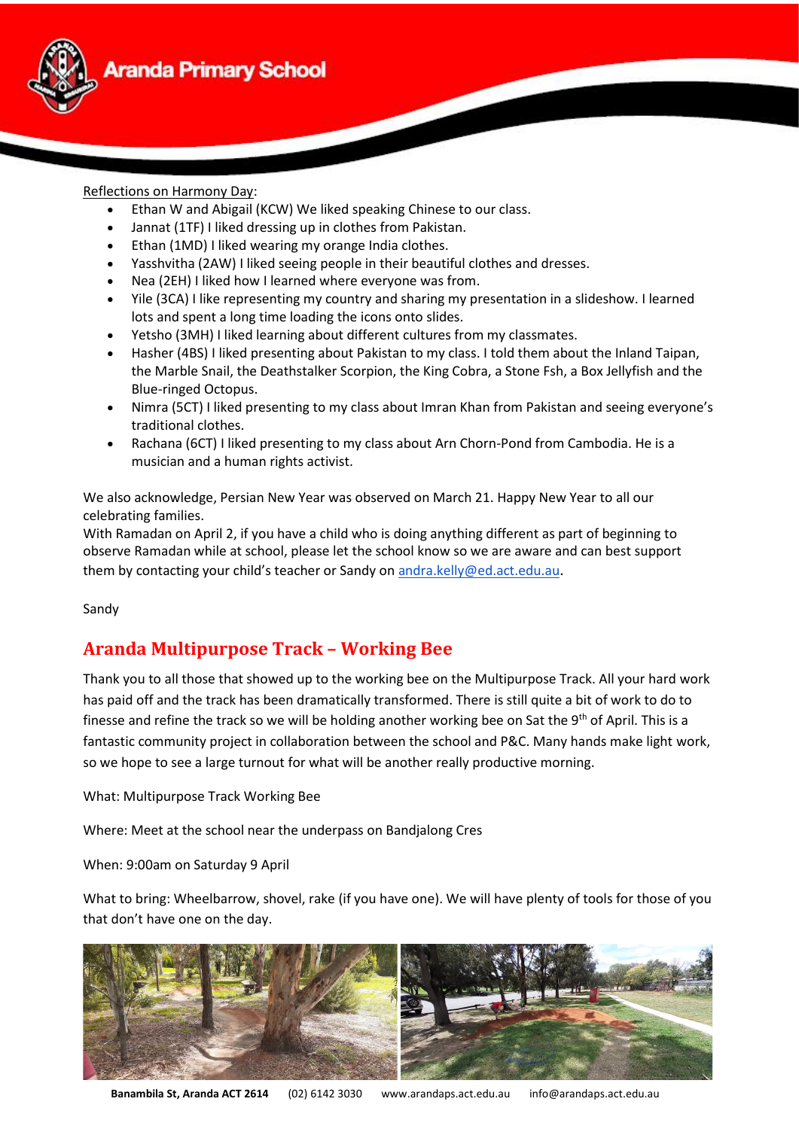

#### Reflections on Harmony Day:

- Ethan W and Abigail (KCW) We liked speaking Chinese to our class.
- Jannat (1TF) I liked dressing up in clothes from Pakistan.
- Ethan (1MD) I liked wearing my orange India clothes.
- Yasshvitha (2AW) I liked seeing people in their beautiful clothes and dresses.
- Nea (2EH) I liked how I learned where everyone was from.
- Yile (3CA) I like representing my country and sharing my presentation in a slideshow. I learned lots and spent a long time loading the icons onto slides.
- Yetsho (3MH) I liked learning about different cultures from my classmates.
- Hasher (4BS) I liked presenting about Pakistan to my class. I told them about the Inland Taipan, the Marble Snail, the Deathstalker Scorpion, the King Cobra, a Stone Fsh, a Box Jellyfish and the Blue-ringed Octopus.
- Nimra (5CT) I liked presenting to my class about Imran Khan from Pakistan and seeing everyone's traditional clothes.
- Rachana (6CT) I liked presenting to my class about Arn Chorn-Pond from Cambodia. He is a musician and a human rights activist.

We also acknowledge, Persian New Year was observed on March 21. Happy New Year to all our celebrating families.

With Ramadan on April 2, if you have a child who is doing anything different as part of beginning to observe Ramadan while at school, please let the school know so we are aware and can best support them by contacting your child's teacher or Sandy on [andra.kelly@ed.act.edu.au](mailto:sandra.kelly@ed.act.edu.au).

Sandy

### **Aranda Multipurpose Track – Working Bee**

Thank you to all those that showed up to the working bee on the Multipurpose Track. All your hard work has paid off and the track has been dramatically transformed. There is still quite a bit of work to do to finesse and refine the track so we will be holding another working bee on Sat the 9<sup>th</sup> of April. This is a fantastic community project in collaboration between the school and P&C. Many hands make light work, so we hope to see a large turnout for what will be another really productive morning.

What: Multipurpose Track Working Bee

Where: Meet at the school near the underpass on Bandjalong Cres

When: 9:00am on Saturday 9 April

What to bring: Wheelbarrow, shovel, rake (if you have one). We will have plenty of tools for those of you that don't have one on the day.